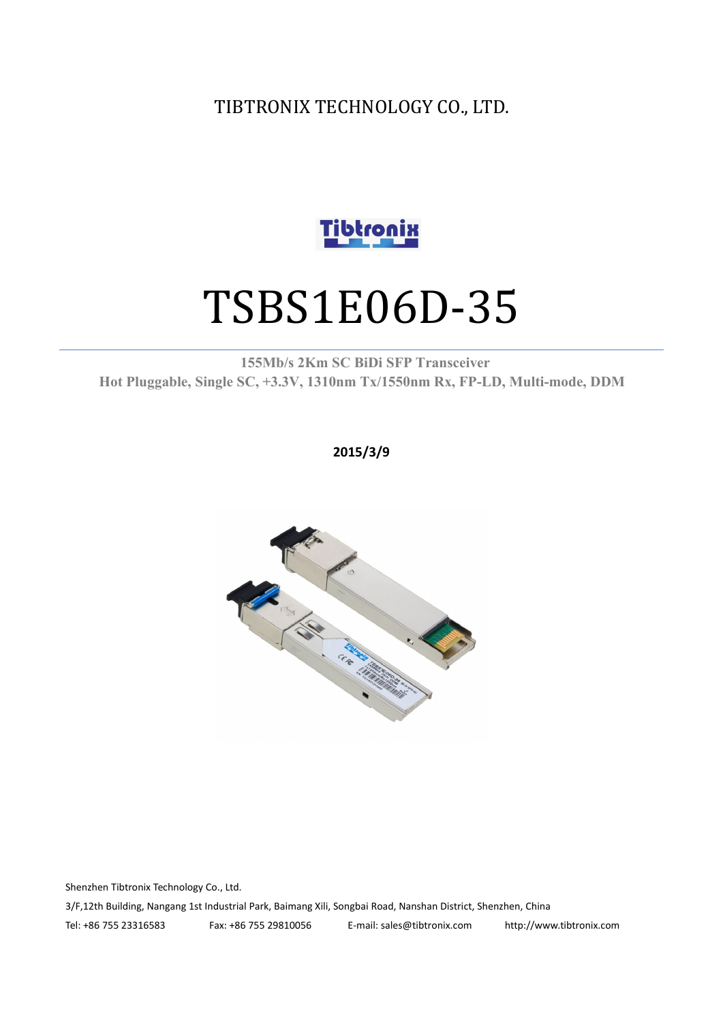TIBTRONIX TECHNOLOGY CO., LTD.



# TSBS1E06D-35

**155Mb/s 2Km SC BiDi SFP Transceiver Hot Pluggable, Single SC, +3.3V, 1310nm Tx/1550nm Rx, FP-LD, Multi-mode, DDM**

**2015/3/9**



Shenzhen Tibtronix Technology Co., Ltd. 3/F,12th Building, Nangang 1st Industrial Park, Baimang Xili, Songbai Road, Nanshan District, Shenzhen, China Tel: +86 755 23316583 Fax: +86 755 29810056 E-mail: sales@tibtronix.com http://www.tibtronix.com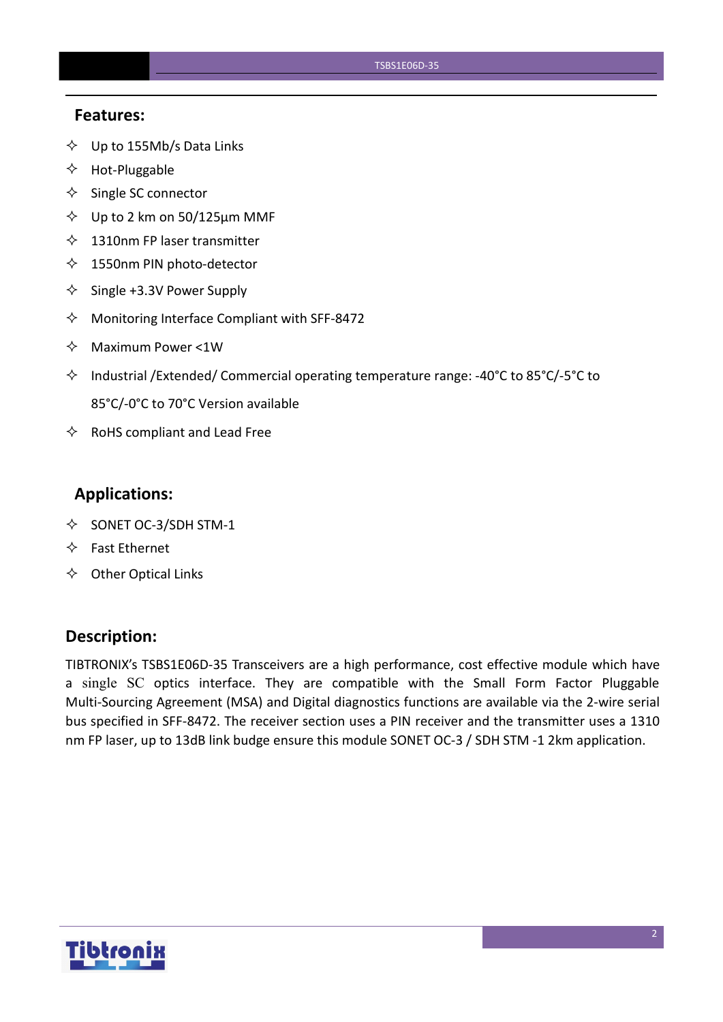#### **Features:**

- $\diamondsuit$  Up to 155Mb/s Data Links
- $\Leftrightarrow$  Hot-Pluggable
- $\Leftrightarrow$  Single SC connector
- $\diamond$  Up to 2 km on 50/125 µm MMF
- $\lozenge$  1310nm FP laser transmitter
- $\diamondsuit$  1550nm PIN photo-detector
- $\diamond$  Single +3.3V Power Supply
- $\Diamond$  Monitoring Interface Compliant with SFF-8472
- $\Diamond$  Maximum Power <1W
- $\Diamond$  Industrial /Extended/ Commercial operating temperature range: -40°C to 85°C/-5°C to 85°C/-0°C to 70°C Version available
- $\Leftrightarrow$  RoHS compliant and Lead Free

## **Applications:**

- $\diamond$  SONET OC-3/SDH STM-1
- $\Leftrightarrow$  Fast Ethernet
- $\Leftrightarrow$  Other Optical Links

## **Description:**

TIBTRONIX's TSBS1E06D-35 Transceivers are a high performance, cost effective module which have a single SC optics interface. They are compatible with the Small Form Factor Pluggable Multi-Sourcing Agreement (MSA) and Digital diagnostics functions are available via the 2-wire serial bus specified in SFF-8472. The receiver section uses a PIN receiver and the transmitter uses a 1310 nm FP laser, up to 13dB link budge ensure this module SONET OC-3 / SDH STM -1 2km application.

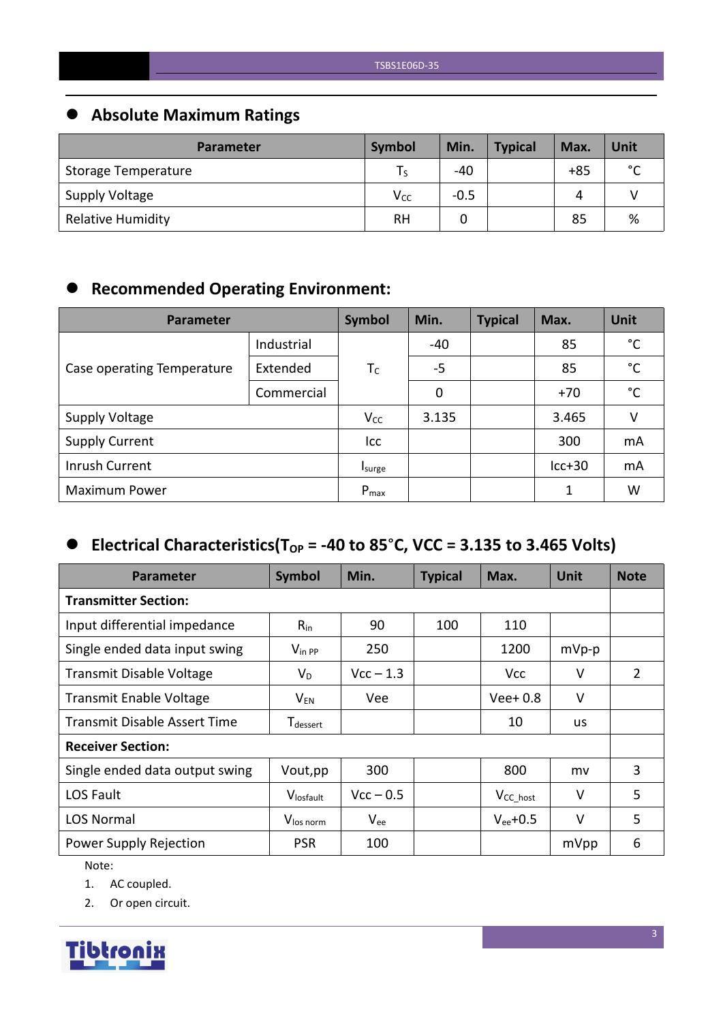# **Absolute Maximum Ratings**

| <b>Parameter</b>         | Symbol          | Min.   | <b>Typical</b> | Max.  | Unit        |
|--------------------------|-----------------|--------|----------------|-------|-------------|
| Storage Temperature      |                 | $-40$  |                | $+85$ | $\sim$<br>֊ |
| Supply Voltage           | V <sub>cc</sub> | $-0.5$ |                | 4     |             |
| <b>Relative Humidity</b> | <b>RH</b>       |        |                | 85    | %           |

# **Recommended Operating Environment:**

| Parameter                  | <b>Symbol</b> | Min.      | <b>Typical</b> | Max. | Unit     |              |
|----------------------------|---------------|-----------|----------------|------|----------|--------------|
|                            | Industrial    |           | $-40$          |      | 85       | $^{\circ}$ C |
| Case operating Temperature | Extended      | $T_c$     | $-5$           |      | 85       | $^{\circ}$ C |
|                            | Commercial    |           | 0              |      | $+70$    | $^{\circ}$ C |
| <b>Supply Voltage</b>      |               | $V_{CC}$  | 3.135          |      | 3.465    | v            |
| <b>Supply Current</b>      |               | Icc       |                |      | 300      | mA           |
| Inrush Current             |               | Isurge    |                |      | $lcc+30$ | mA           |
| <b>Maximum Power</b>       |               | $P_{max}$ |                |      |          | W            |

# $\bullet$  Electrical Characteristics(T<sub>OP</sub> = -40 to 85°C, VCC = 3.135 to 3.465 Volts)

| Parameter                      | <b>Symbol</b>                    | Min.        | <b>Typical</b> | Max.           | <b>Unit</b> | <b>Note</b> |
|--------------------------------|----------------------------------|-------------|----------------|----------------|-------------|-------------|
| <b>Transmitter Section:</b>    |                                  |             |                |                |             |             |
| Input differential impedance   | $R_{in}$                         | 90          | 100            | 110            |             |             |
| Single ended data input swing  | $V_{\text{in PP}}$               | 250         |                | 1200           | $mVp-p$     |             |
| Transmit Disable Voltage       | $V_D$                            | $Vcc - 1.3$ |                | Vcc            | $\vee$      | 2           |
| <b>Transmit Enable Voltage</b> | $\mathsf{V}_{\mathsf{EN}}$       | Vee         |                | $Vee+0.8$      | $\vee$      |             |
| Transmit Disable Assert Time   | ${\mathsf T}_{\textsf{dessert}}$ |             |                | 10             | <b>us</b>   |             |
| <b>Receiver Section:</b>       |                                  |             |                |                |             |             |
| Single ended data output swing | Vout, pp                         | 300         |                | 800            | mv          | 3           |
| LOS Fault                      | Vlosfault                        | $Vcc - 0.5$ |                | $V_{CC\_host}$ | $\vee$      | 5           |
| <b>LOS Normal</b>              | V <sub>los norm</sub>            | $V_{ee}$    |                | $V_{ee}$ +0.5  | $\vee$      | 5           |
| Power Supply Rejection         | <b>PSR</b>                       | 100         |                |                | mVpp        | 6           |

Note:

1. AC coupled.

2. Or open circuit.

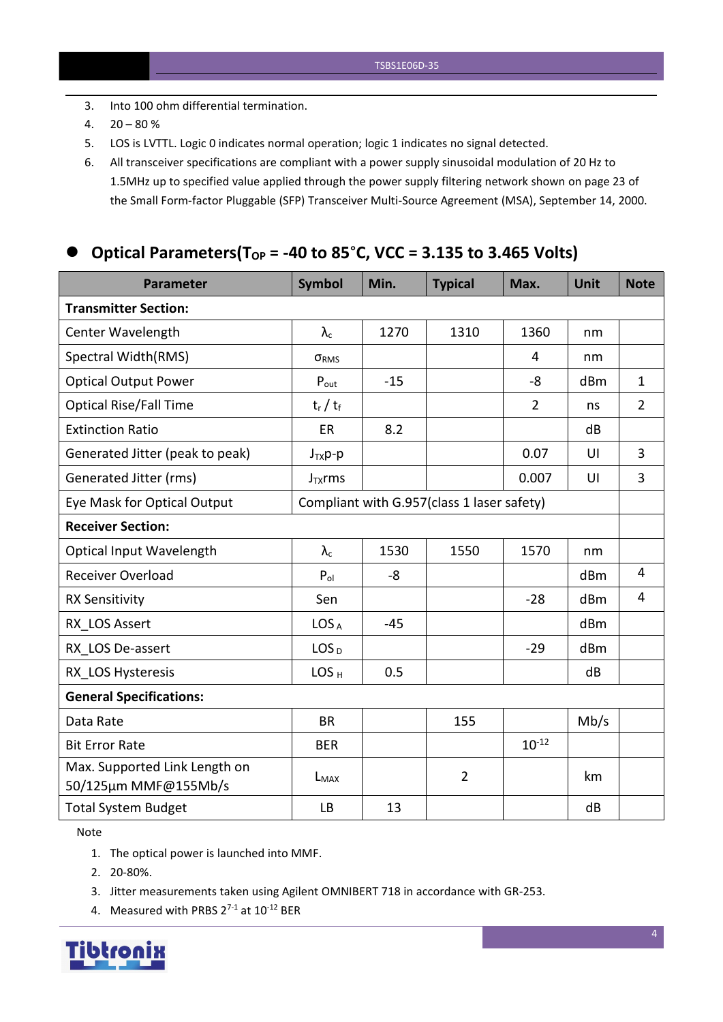- 3. Into 100 ohm differential termination.
- 4.  $20 80 \%$
- 5. LOS is LVTTL. Logic 0 indicates normal operation; logic 1 indicates no signal detected.
- 6. All transceiver specifications are compliant with a power supply sinusoidal modulation of 20 Hz to 1.5MHz up to specified value applied through the powersupply filtering network shown on page 23 of the Small Form-factor Pluggable (SFP) Transceiver Multi-Source Agreement (MSA), September 14, 2000.

## **Optical Parameters(T** $_{OP}$  = -40 to 85°C, VCC = 3.135 to 3.465 Volts)

| <b>Parameter</b>                                      | <b>Symbol</b>     | Min.  | <b>Typical</b>                             | Max.           | <b>Unit</b> | <b>Note</b>    |
|-------------------------------------------------------|-------------------|-------|--------------------------------------------|----------------|-------------|----------------|
| <b>Transmitter Section:</b>                           |                   |       |                                            |                |             |                |
| Center Wavelength                                     | $\lambda_{\rm c}$ | 1270  | 1310                                       | 1360           | nm          |                |
| Spectral Width(RMS)                                   | ORMS              |       |                                            | 4              | nm          |                |
| <b>Optical Output Power</b>                           | $P_{\text{out}}$  | $-15$ |                                            | -8             | dBm         | $\mathbf{1}$   |
| <b>Optical Rise/Fall Time</b>                         | $t_r / t_f$       |       |                                            | $\overline{2}$ | ns          | $\overline{2}$ |
| <b>Extinction Ratio</b>                               | ER                | 8.2   |                                            |                | dB          |                |
| Generated Jitter (peak to peak)                       | $J_{TX}p-p$       |       |                                            | 0.07           | UI          | $\overline{3}$ |
| Generated Jitter (rms)                                | $J_{TX}$ rms      |       |                                            | 0.007          | UI          | $\overline{3}$ |
| Eye Mask for Optical Output                           |                   |       | Compliant with G.957(class 1 laser safety) |                |             |                |
| <b>Receiver Section:</b>                              |                   |       |                                            |                |             |                |
| <b>Optical Input Wavelength</b>                       | $\lambda_c$       | 1530  | 1550                                       | 1570           | nm          |                |
| <b>Receiver Overload</b>                              | $P_{ol}$          | -8    |                                            |                | dBm         | $\overline{4}$ |
| <b>RX Sensitivity</b>                                 | Sen               |       |                                            | $-28$          | dBm         | $\overline{4}$ |
| RX LOS Assert                                         | LOS <sub>A</sub>  | $-45$ |                                            |                | dBm         |                |
| RX_LOS De-assert                                      | LOS <sub>D</sub>  |       |                                            | $-29$          | dBm         |                |
| RX LOS Hysteresis                                     | LOS <sub>H</sub>  | 0.5   |                                            |                | dB          |                |
| <b>General Specifications:</b>                        |                   |       |                                            |                |             |                |
| Data Rate                                             | <b>BR</b>         |       | 155                                        |                | Mb/s        |                |
| <b>Bit Error Rate</b>                                 | <b>BER</b>        |       |                                            | $10^{-12}$     |             |                |
| Max. Supported Link Length on<br>50/125µm MMF@155Mb/s | $L_{MAX}$         |       | $\overline{2}$                             |                | km          |                |
| <b>Total System Budget</b>                            | <b>LB</b>         | 13    |                                            |                | dB          |                |

Note

- 1. The optical power is launched into MMF.
- 2. 20-80%.
- 3. Jitter measurements taken using Agilent OMNIBERT 718 in accordance with GR-253.
- 4. Measured with PRBS  $2^{7-1}$  at  $10^{-12}$  BER

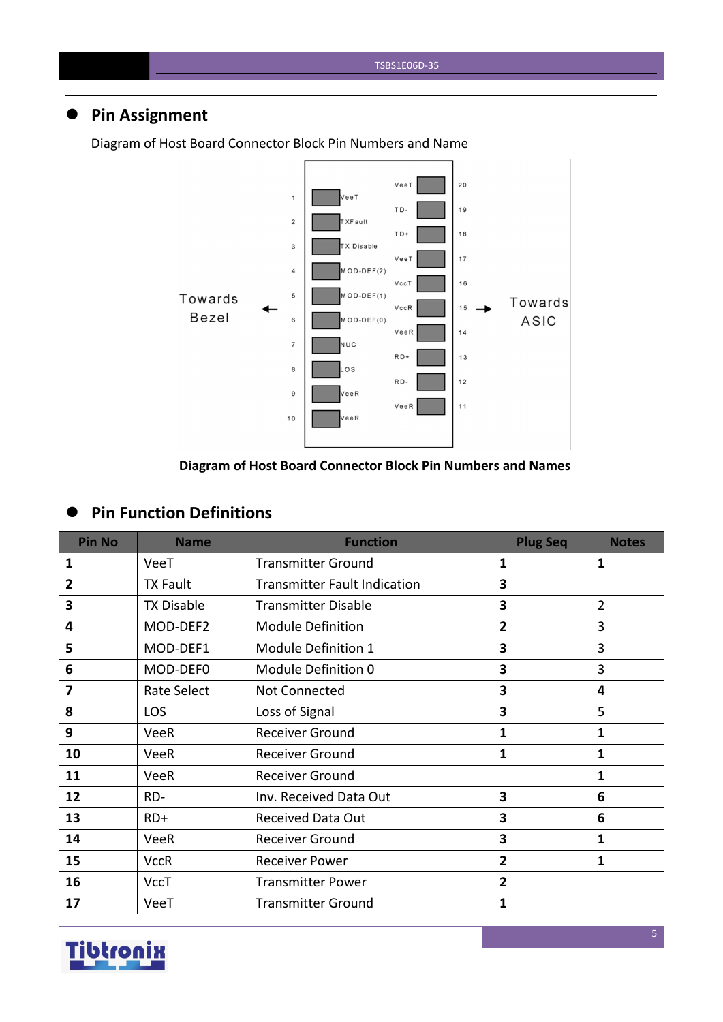# **Pin Assignment**



Diagram of Host Board Connector Block Pin Numbers and Name

#### **Diagram of Host Board Connector Block Pin Numbers and Names**

## **Pin Function Definitions**

| <b>Pin No</b>  | <b>Name</b>       | <b>Function</b>                     | <b>Plug Seq</b>                | <b>Notes</b>   |
|----------------|-------------------|-------------------------------------|--------------------------------|----------------|
| 1              | VeeT              | <b>Transmitter Ground</b>           | $\mathbf{1}$                   | $\mathbf{1}$   |
| $\overline{2}$ | <b>TX Fault</b>   | <b>Transmitter Fault Indication</b> | 3                              |                |
| 3              | <b>TX Disable</b> | <b>Transmitter Disable</b>          | 3                              | $\overline{2}$ |
| 4              | MOD-DEF2          | <b>Module Definition</b>            | $\overline{2}$                 | 3              |
| 5              | MOD-DEF1          | Module Definition 1                 | 3                              | $\overline{3}$ |
| 6              | MOD-DEF0          | Module Definition 0                 | $\overline{3}$<br>3            |                |
| 7              | Rate Select       | Not Connected                       | 3                              |                |
| 8              | <b>LOS</b>        | Loss of Signal                      | 3                              | 5              |
| 9              | <b>VeeR</b>       | <b>Receiver Ground</b>              | 1                              |                |
| 10             | <b>VeeR</b>       | <b>Receiver Ground</b>              | $\mathbf{1}$                   | $\mathbf{1}$   |
| 11             | <b>VeeR</b>       | <b>Receiver Ground</b>              | $\mathbf{1}$                   |                |
| 12             | RD-               | Inv. Received Data Out              | $\overline{\mathbf{3}}$        | 6              |
| 13             | $RD+$             | <b>Received Data Out</b>            | 3                              | $6\phantom{1}$ |
| 14             | VeeR              | <b>Receiver Ground</b>              | $\overline{\mathbf{3}}$        | $\mathbf{1}$   |
| 15             | <b>VccR</b>       | <b>Receiver Power</b>               | $\mathbf{1}$<br>$\overline{2}$ |                |
| 16             | <b>VccT</b>       | <b>Transmitter Power</b>            | $\overline{2}$                 |                |
| 17             | VeeT              | <b>Transmitter Ground</b>           | $\mathbf{1}$                   |                |

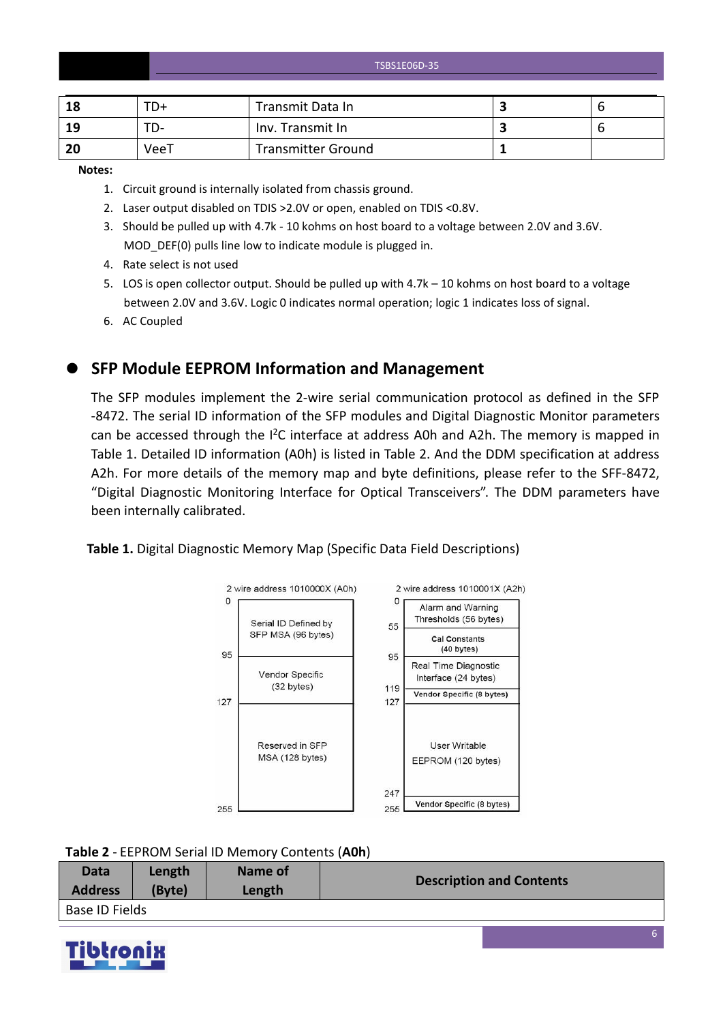TSBS1E06D-35

| 18 | $TD+$ | Transmit Data In          |  |
|----|-------|---------------------------|--|
| 19 | TD-   | Inv. Transmit In          |  |
| 20 | VeeT  | <b>Transmitter Ground</b> |  |

**Notes:**

- 1. Circuit ground is internally isolated from chassis ground.
- 2. Laser output disabled on TDIS >2.0V or open, enabled on TDIS <0.8V.
- 3. Should be pulled up with 4.7k 10 kohms on host board to a voltage between 2.0V and 3.6V. MOD\_DEF(0) pulls line low to indicate module is plugged in.
- 4. Rate select is not used
- 5. LOS is open collector output. Should be pulled up with 4.7k 10 kohms on host board to a voltage between 2.0V and 3.6V. Logic 0 indicates normal operation; logic 1 indicates loss of signal.
- 6. AC Coupled

**SFP Module EEPROM Information and Management**

The SFP modules implement the 2-wire serial communication protocol as defined in the SFP -8472. The serial ID information of the SFP modules and Digital Diagnostic Monitor parameters can be accessed through the  $I^2C$  interface at address A0h and A2h. The memory is mapped in Table 1. Detailed ID information (A0h) is listed in Table 2. And the DDM specification at address A2h. For more details of the memory map and byte definitions, please refer to the SFF-8472, "Digital Diagnostic Monitoring Interface for Optical Transceivers". The DDM parameters have been internally calibrated.

#### **Table 1.** Digital Diagnostic Memory Map (Specific Data Field Descriptions)



**Table 2** - EEPROM Serial ID Memory Contents (**A0h**)

| Data           | Length | Name of | <b>Description and Contents</b> |
|----------------|--------|---------|---------------------------------|
| <b>Address</b> | (Byte) | Length  |                                 |
| Base ID Fields |        |         |                                 |

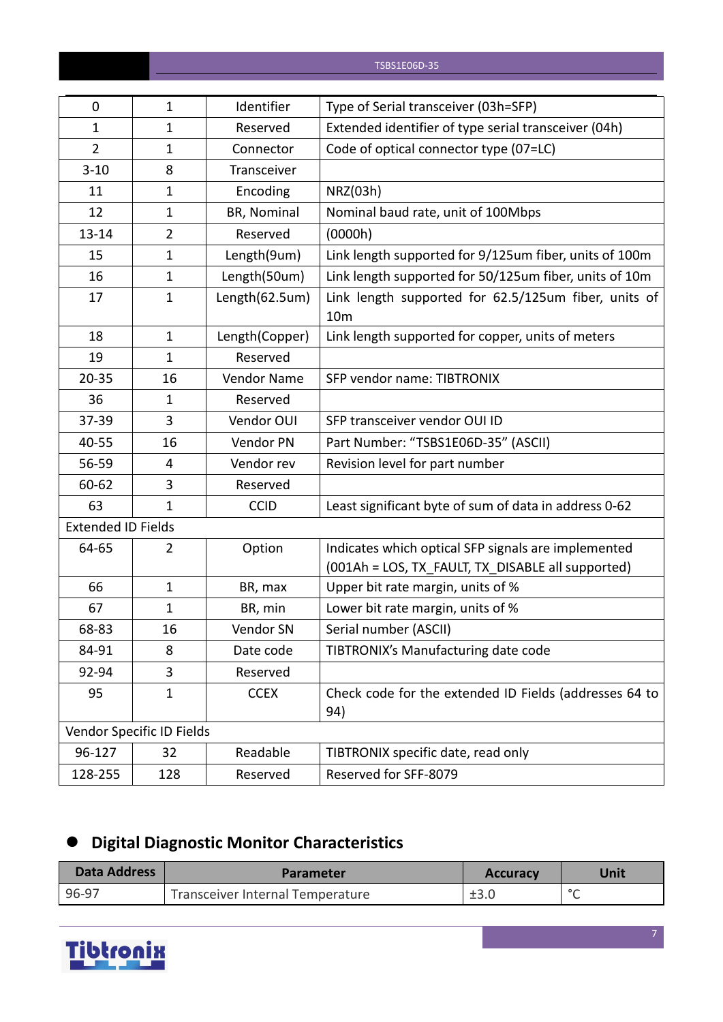| 0                         | $\mathbf{1}$              | Identifier     | Type of Serial transceiver (03h=SFP)                                                                     |
|---------------------------|---------------------------|----------------|----------------------------------------------------------------------------------------------------------|
| $\mathbf{1}$              | $\mathbf{1}$              | Reserved       | Extended identifier of type serial transceiver (04h)                                                     |
| $\overline{2}$            | $\mathbf{1}$              | Connector      | Code of optical connector type (07=LC)                                                                   |
| $3 - 10$                  | 8                         | Transceiver    |                                                                                                          |
| 11                        | $\mathbf{1}$              | Encoding       | NRZ(03h)                                                                                                 |
| 12                        | $\mathbf{1}$              | BR, Nominal    | Nominal baud rate, unit of 100Mbps                                                                       |
| 13-14                     | $\overline{2}$            | Reserved       | (0000h)                                                                                                  |
| 15                        | $\mathbf{1}$              | Length(9um)    | Link length supported for 9/125um fiber, units of 100m                                                   |
| 16                        | $\mathbf{1}$              | Length(50um)   | Link length supported for 50/125um fiber, units of 10m                                                   |
| 17                        | $\mathbf{1}$              | Length(62.5um) | Link length supported for 62.5/125um fiber, units of<br>10 <sub>m</sub>                                  |
| 18                        | $\mathbf{1}$              | Length(Copper) | Link length supported for copper, units of meters                                                        |
| 19                        | $\mathbf{1}$              | Reserved       |                                                                                                          |
| $20 - 35$                 | 16                        | Vendor Name    | SFP vendor name: TIBTRONIX                                                                               |
| 36                        | $\mathbf{1}$              | Reserved       |                                                                                                          |
| 37-39                     | 3                         | Vendor OUI     | SFP transceiver vendor OUI ID                                                                            |
| 40-55                     | 16                        | Vendor PN      | Part Number: "TSBS1E06D-35" (ASCII)                                                                      |
| 56-59                     | 4                         | Vendor rev     | Revision level for part number                                                                           |
| 60-62                     | 3                         | Reserved       |                                                                                                          |
| 63                        | $\mathbf{1}$              | <b>CCID</b>    | Least significant byte of sum of data in address 0-62                                                    |
| <b>Extended ID Fields</b> |                           |                |                                                                                                          |
| 64-65                     | $\overline{2}$            | Option         | Indicates which optical SFP signals are implemented<br>(001Ah = LOS, TX_FAULT, TX_DISABLE all supported) |
| 66                        | $\mathbf{1}$              | BR, max        | Upper bit rate margin, units of %                                                                        |
| 67                        | $\mathbf{1}$              | BR, min        | Lower bit rate margin, units of %                                                                        |
| 68-83                     | 16                        | Vendor SN      | Serial number (ASCII)                                                                                    |
| 84-91                     | 8                         | Date code      | TIBTRONIX's Manufacturing date code                                                                      |
| 92-94                     | 3                         | Reserved       |                                                                                                          |
| 95                        | $\mathbf{1}$              | <b>CCEX</b>    | Check code for the extended ID Fields (addresses 64 to<br>94)                                            |
|                           | Vendor Specific ID Fields |                |                                                                                                          |
| 96-127                    | 32                        | Readable       | TIBTRONIX specific date, read only                                                                       |
| 128-255                   | 128                       | Reserved       | Reserved for SFF-8079                                                                                    |

# **Digital Diagnostic Monitor Characteristics**

| <b>Data Address</b> | <b>Parameter</b>                 | <b>Accuracy</b> | Unit    |
|---------------------|----------------------------------|-----------------|---------|
| 96-97               | Transceiver Internal Temperature | ±3.0            | $\circ$ |

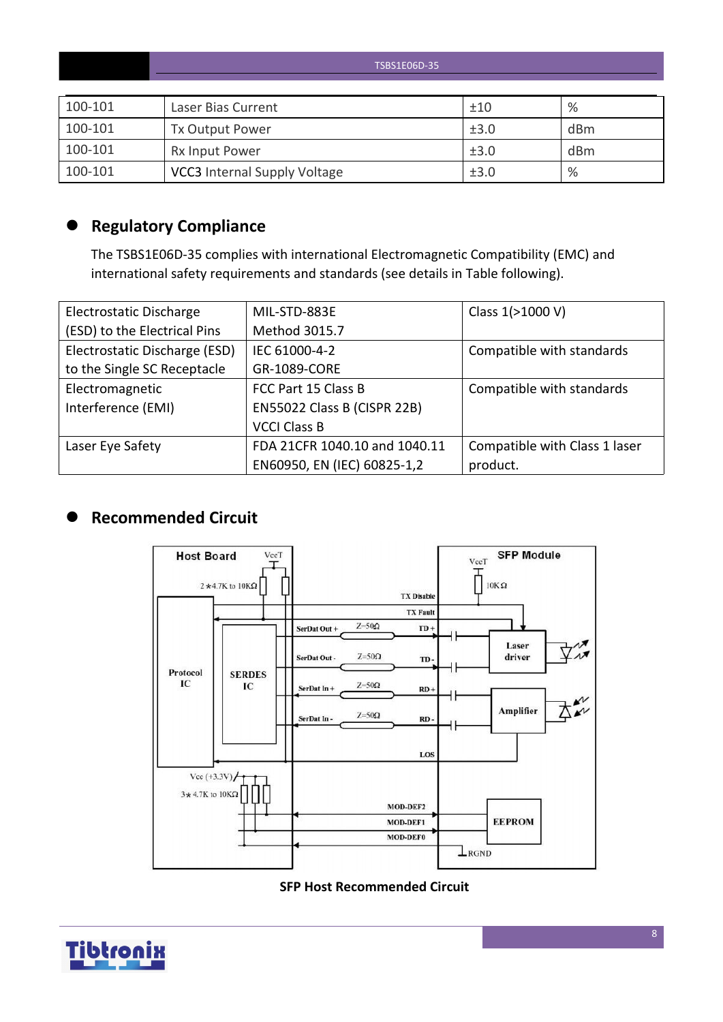|         | TSBS1E06D-35                        |      |      |  |  |  |  |
|---------|-------------------------------------|------|------|--|--|--|--|
|         |                                     |      |      |  |  |  |  |
| 100-101 | Laser Bias Current                  | ±10  | $\%$ |  |  |  |  |
| 100-101 | Tx Output Power                     | ±3.0 | dBm  |  |  |  |  |
| 100-101 | Rx Input Power                      | ±3.0 | dBm  |  |  |  |  |
| 100-101 | <b>VCC3</b> Internal Supply Voltage | ±3.0 | %    |  |  |  |  |

# **Regulatory Compliance**

The TSBS1E06D-35 complies with international Electromagnetic Compatibility (EMC) and international safety requirements and standards (see details in Table following).

| Electrostatic Discharge       | MIL-STD-883E                  | Class 1(>1000 V)              |
|-------------------------------|-------------------------------|-------------------------------|
| (ESD) to the Electrical Pins  | Method 3015.7                 |                               |
| Electrostatic Discharge (ESD) | IEC 61000-4-2                 | Compatible with standards     |
| to the Single SC Receptacle   | <b>GR-1089-CORE</b>           |                               |
| Electromagnetic               | FCC Part 15 Class B           | Compatible with standards     |
| Interference (EMI)            | EN55022 Class B (CISPR 22B)   |                               |
|                               | <b>VCCI Class B</b>           |                               |
| Laser Eye Safety              | FDA 21CFR 1040.10 and 1040.11 | Compatible with Class 1 laser |
|                               | EN60950, EN (IEC) 60825-1,2   | product.                      |

# **Recommended Circuit**



#### **SFP Host Recommended Circuit**